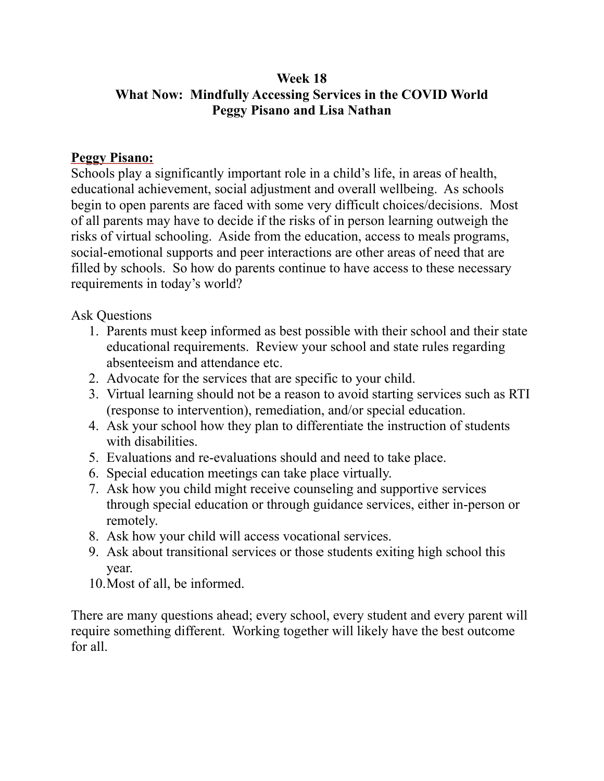## **Week 18 What Now: Mindfully Accessing Services in the COVID World Peggy Pisano and Lisa Nathan**

## **Peggy Pisano:**

Schools play a significantly important role in a child's life, in areas of health, educational achievement, social adjustment and overall wellbeing. As schools begin to open parents are faced with some very difficult choices/decisions. Most of all parents may have to decide if the risks of in person learning outweigh the risks of virtual schooling. Aside from the education, access to meals programs, social-emotional supports and peer interactions are other areas of need that are filled by schools. So how do parents continue to have access to these necessary requirements in today's world?

Ask Questions

- 1. Parents must keep informed as best possible with their school and their state educational requirements. Review your school and state rules regarding absenteeism and attendance etc.
- 2. Advocate for the services that are specific to your child.
- 3. Virtual learning should not be a reason to avoid starting services such as RTI (response to intervention), remediation, and/or special education.
- 4. Ask your school how they plan to differentiate the instruction of students with disabilities.
- 5. Evaluations and re-evaluations should and need to take place.
- 6. Special education meetings can take place virtually.
- 7. Ask how you child might receive counseling and supportive services through special education or through guidance services, either in-person or remotely.
- 8. Ask how your child will access vocational services.
- 9. Ask about transitional services or those students exiting high school this year.
- 10.Most of all, be informed.

There are many questions ahead; every school, every student and every parent will require something different. Working together will likely have the best outcome for all.